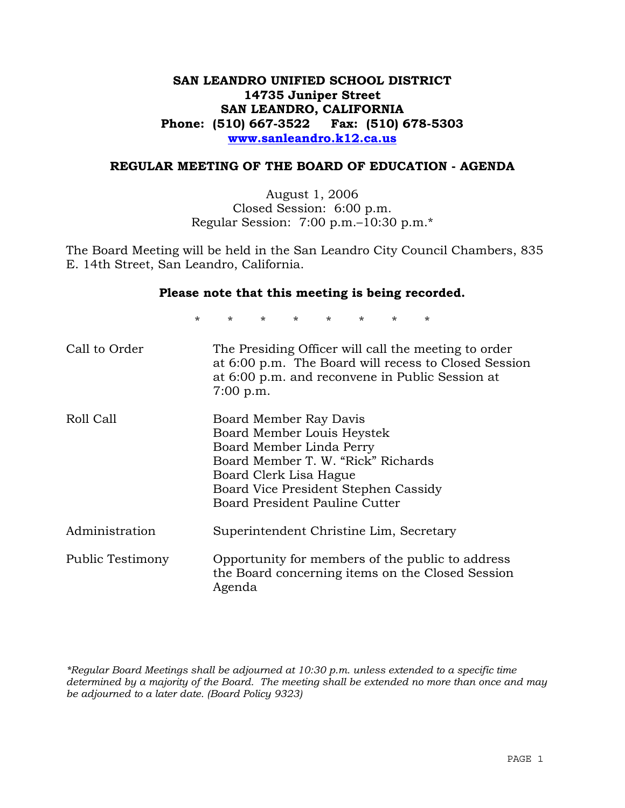# **SAN LEANDRO UNIFIED SCHOOL DISTRICT 14735 Juniper Street SAN LEANDRO, CALIFORNIA Phone: (510) 667-3522 Fax: (510) 678-5303 www.sanleandro.k12.ca.us**

#### **REGULAR MEETING OF THE BOARD OF EDUCATION - AGENDA**

August 1, 2006 Closed Session: 6:00 p.m. Regular Session: 7:00 p.m.–10:30 p.m.\*

The Board Meeting will be held in the San Leandro City Council Chambers, 835 E. 14th Street, San Leandro, California.

#### **Please note that this meeting is being recorded.**

\* \* \* \* \* \* \* \*

| Call to Order    | The Presiding Officer will call the meeting to order<br>at 6:00 p.m. The Board will recess to Closed Session<br>at 6:00 p.m. and reconvene in Public Session at<br>$7:00$ p.m.                                             |
|------------------|----------------------------------------------------------------------------------------------------------------------------------------------------------------------------------------------------------------------------|
| Roll Call        | Board Member Ray Davis<br>Board Member Louis Heystek<br>Board Member Linda Perry<br>Board Member T. W. "Rick" Richards<br>Board Clerk Lisa Hague<br>Board Vice President Stephen Cassidy<br>Board President Pauline Cutter |
| Administration   | Superintendent Christine Lim, Secretary                                                                                                                                                                                    |
| Public Testimony | Opportunity for members of the public to address<br>the Board concerning items on the Closed Session<br>Agenda                                                                                                             |

*\*Regular Board Meetings shall be adjourned at 10:30 p.m. unless extended to a specific time determined by a majority of the Board. The meeting shall be extended no more than once and may be adjourned to a later date. (Board Policy 9323)*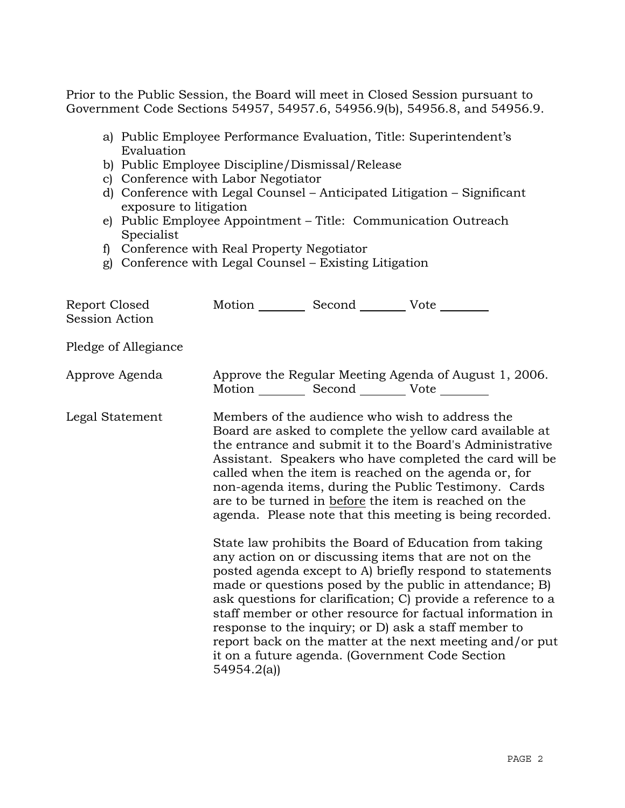Prior to the Public Session, the Board will meet in Closed Session pursuant to Government Code Sections 54957, 54957.6, 54956.9(b), 54956.8, and 54956.9.

- a) Public Employee Performance Evaluation, Title: Superintendent's Evaluation
- b) Public Employee Discipline/Dismissal/Release
- c) Conference with Labor Negotiator
- d) Conference with Legal Counsel Anticipated Litigation Significant exposure to litigation
- e) Public Employee Appointment Title: Communication Outreach Specialist
- f) Conference with Real Property Negotiator
- g) Conference with Legal Counsel Existing Litigation

| 54954.2(a) |                                                                                                                                                                                                                                                                                                                                                                                                                                                                                                                                                                                                                                                                                                                                                                                                                                                                                                                                                                                                                                                                                                                                                            |
|------------|------------------------------------------------------------------------------------------------------------------------------------------------------------------------------------------------------------------------------------------------------------------------------------------------------------------------------------------------------------------------------------------------------------------------------------------------------------------------------------------------------------------------------------------------------------------------------------------------------------------------------------------------------------------------------------------------------------------------------------------------------------------------------------------------------------------------------------------------------------------------------------------------------------------------------------------------------------------------------------------------------------------------------------------------------------------------------------------------------------------------------------------------------------|
|            | Motion Second Vote<br>Approve the Regular Meeting Agenda of August 1, 2006.<br>Motion __________ Second __________ Vote ________<br>Members of the audience who wish to address the<br>Board are asked to complete the yellow card available at<br>the entrance and submit it to the Board's Administrative<br>Assistant. Speakers who have completed the card will be<br>called when the item is reached on the agenda or, for<br>non-agenda items, during the Public Testimony. Cards<br>are to be turned in before the item is reached on the<br>agenda. Please note that this meeting is being recorded.<br>State law prohibits the Board of Education from taking<br>any action on or discussing items that are not on the<br>posted agenda except to A) briefly respond to statements<br>made or questions posed by the public in attendance; B)<br>ask questions for clarification; C) provide a reference to a<br>staff member or other resource for factual information in<br>response to the inquiry; or D) ask a staff member to<br>report back on the matter at the next meeting and/or put<br>it on a future agenda. (Government Code Section |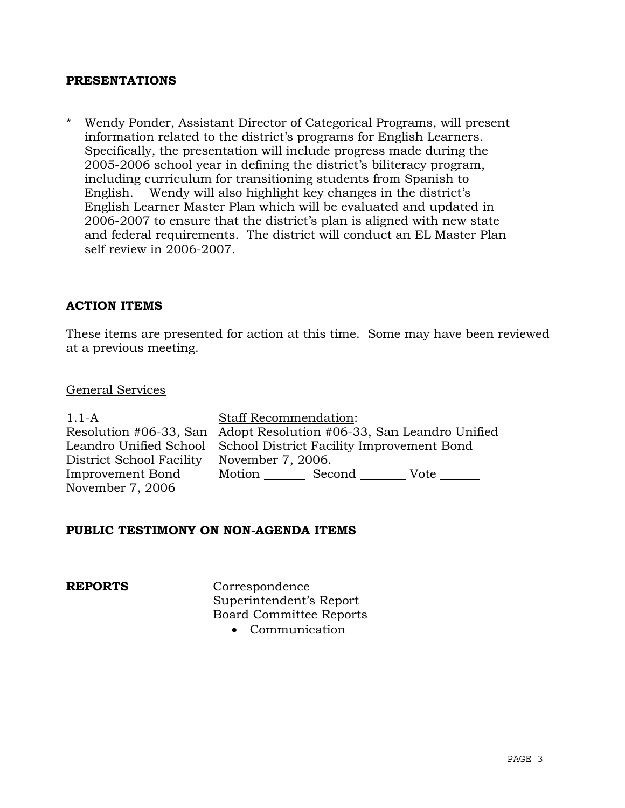# **PRESENTATIONS**

\* Wendy Ponder, Assistant Director of Categorical Programs, will present information related to the district's programs for English Learners. Specifically, the presentation will include progress made during the 2005-2006 school year in defining the district's biliteracy program, including curriculum for transitioning students from Spanish to English. Wendy will also highlight key changes in the district's English Learner Master Plan which will be evaluated and updated in 2006-2007 to ensure that the district's plan is aligned with new state and federal requirements. The district will conduct an EL Master Plan self review in 2006-2007.

# **ACTION ITEMS**

These items are presented for action at this time. Some may have been reviewed at a previous meeting.

#### General Services

| $1.1-A$                  | <b>Staff Recommendation:</b>                                        |  |  |  |
|--------------------------|---------------------------------------------------------------------|--|--|--|
|                          | Resolution #06-33, San Adopt Resolution #06-33, San Leandro Unified |  |  |  |
|                          | Leandro Unified School School District Facility Improvement Bond    |  |  |  |
| District School Facility | November 7, 2006.                                                   |  |  |  |
| Improvement Bond         | Motion Second Vote                                                  |  |  |  |
| November 7, 2006         |                                                                     |  |  |  |

### **PUBLIC TESTIMONY ON NON-AGENDA ITEMS**

**REPORTS** Correspondence Superintendent's Report Board Committee Reports

• Communication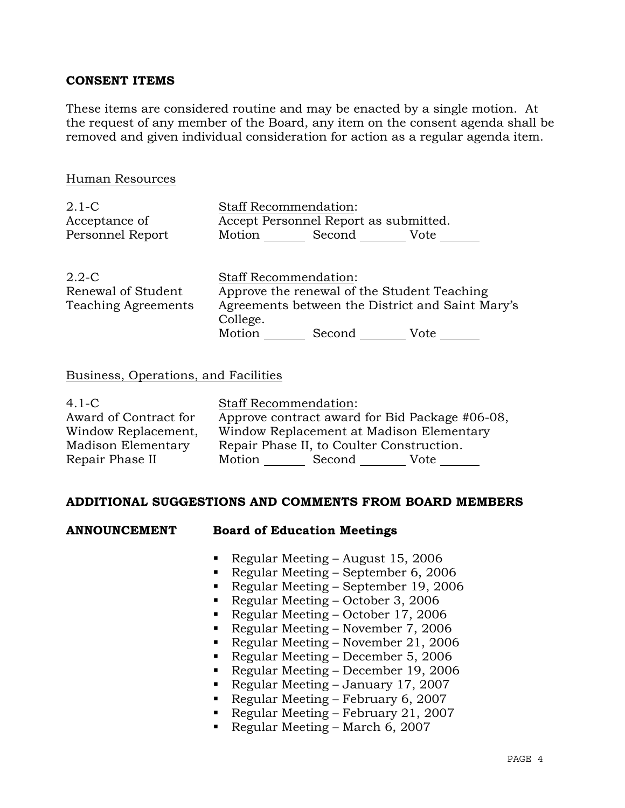# **CONSENT ITEMS**

These items are considered routine and may be enacted by a single motion. At the request of any member of the Board, any item on the consent agenda shall be removed and given individual consideration for action as a regular agenda item.

| Human Resources                                               |                                                                                                                                             |
|---------------------------------------------------------------|---------------------------------------------------------------------------------------------------------------------------------------------|
| $2.1-C$<br>Acceptance of<br>Personnel Report                  | <b>Staff Recommendation:</b><br>Accept Personnel Report as submitted.<br>Motion Second<br>Vote                                              |
| $2.2 - C$<br>Renewal of Student<br><b>Teaching Agreements</b> | <b>Staff Recommendation:</b><br>Approve the renewal of the Student Teaching<br>Agreements between the District and Saint Mary's<br>College. |

Motion Second Vote

#### Business, Operations, and Facilities

| $4.1-C$               | <b>Staff Recommendation:</b>                   |  |  |  |  |  |
|-----------------------|------------------------------------------------|--|--|--|--|--|
| Award of Contract for | Approve contract award for Bid Package #06-08, |  |  |  |  |  |
| Window Replacement,   | Window Replacement at Madison Elementary       |  |  |  |  |  |
| Madison Elementary    | Repair Phase II, to Coulter Construction.      |  |  |  |  |  |
| Repair Phase II       | Motion<br>Second<br>Vote                       |  |  |  |  |  |

# **ADDITIONAL SUGGESTIONS AND COMMENTS FROM BOARD MEMBERS**

| <b>ANNOUNCEMENT</b> |  | <b>Board of Education Meetings</b> |  |
|---------------------|--|------------------------------------|--|
|                     |  |                                    |  |

- Regular Meeting August 15, 2006
- Regular Meeting September 6, 2006
- Regular Meeting September 19, 2006
- Regular Meeting October 3, 2006
- Regular Meeting October 17, 2006
- Regular Meeting November 7, 2006
- Regular Meeting November 21, 2006
- Regular Meeting December 5, 2006
- Regular Meeting December 19, 2006
- Regular Meeting January 17, 2007
- 
- Regular Meeting February 6, 2007
- Regular Meeting February 21, 2007
- Regular Meeting March 6, 2007